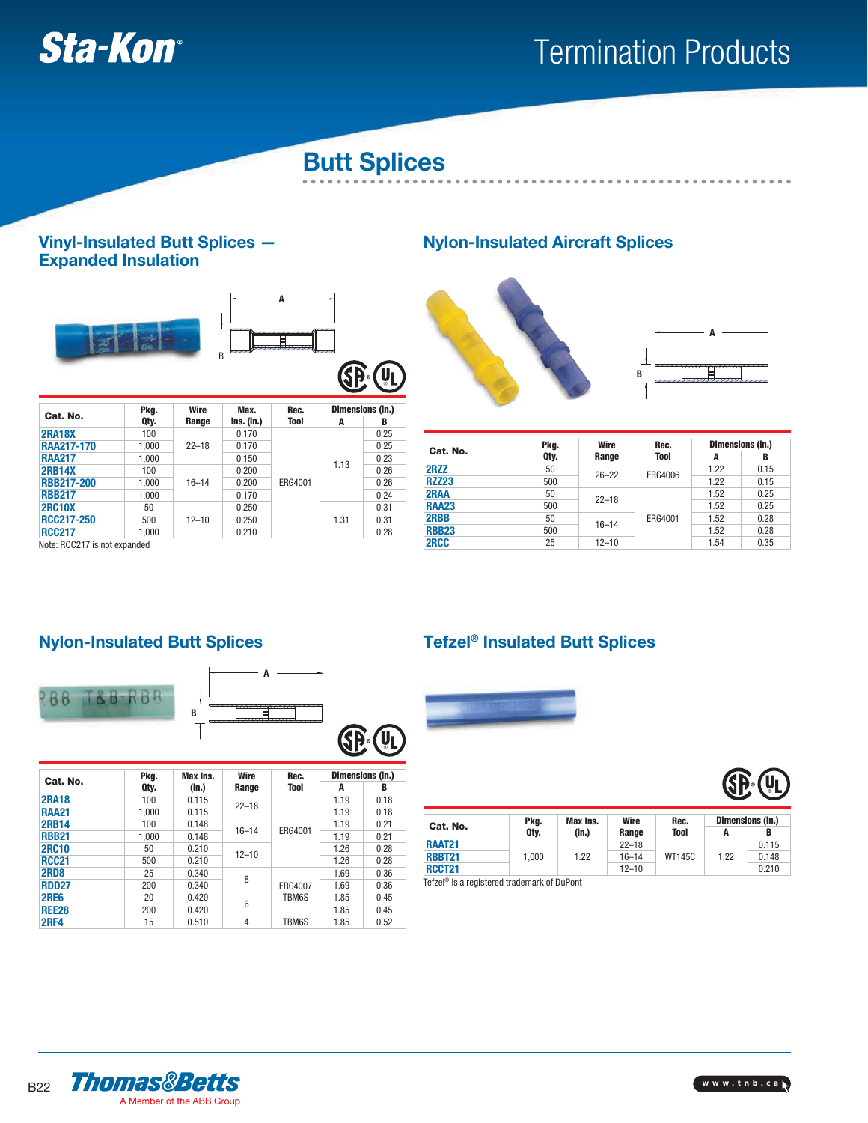

# Termination Products

# **Butt Splices**

#### **Vinyl-Insulated Butt Splices — Expanded Insulation**



**RBB217** 1,000 0.170 0.170 0.24

**RCC217-250** 500 12-10 0.250 1.31 0.31<br>**RCC217** 1,000 0.210 0.280 0.28 **RCC217** 1,000 0.210 0.210 0.28

12–10



0.250

1.31

0.31

### **Nylon-Insulated Aircraft Splices**





. . . . . . . . . . . . . . . . . . .

|              | Pkg. | Wire                   | Rec.    | Dimensions (in.) |      |  |
|--------------|------|------------------------|---------|------------------|------|--|
| Cat. No.     | Qty. | Range                  | Tool    | A                | B    |  |
| 2RZZ         | 50   |                        | ERG4006 | 1.22             | 0.15 |  |
| <b>RZZ23</b> | 500  | $26 - 22$              |         | 1.22             | 0.15 |  |
| 2RAA         | 50   | $22 - 18$<br>$16 - 14$ | ERG4001 | 1.52             | 0.25 |  |
| <b>RAA23</b> | 500  |                        |         | 1.52             | 0.25 |  |
| 2RBB         | 50   |                        |         | 1.52             | 0.28 |  |
| <b>RBB23</b> | 500  |                        |         | 1.52             | 0.28 |  |
| 2RCC         | 25   | $12 - 10$              |         | 1.54             | 0.35 |  |

# **Nylon-Insulated Butt Splices Tefzel® Insulated Butt Splices**

**2RC10X** 50<br>**RCC217-250** 500

Note: RCC217 is not expanded



| Cat. No.     | Pkg.  | Max Ins. | <b>Wire</b> | Rec.    |      | Dimensions (in.) |
|--------------|-------|----------|-------------|---------|------|------------------|
|              | Qty.  | (in.)    | Range       | Tool    | A    | в                |
| <b>2RA18</b> | 100   | 0.115    | $22 - 18$   |         | 1.19 | 0.18             |
| <b>RAA21</b> | 1.000 | 0.115    |             |         | 1.19 | 0.18             |
| <b>2RB14</b> | 100   | 0.148    |             | ERG4001 | 1.19 | 0.21             |
| <b>RBB21</b> | 1.000 | 0.148    | $16 - 14$   |         | 1.19 | 0.21             |
| <b>2RC10</b> | 50    | 0.210    | $12 - 10$   |         | 1.26 | 0.28             |
| <b>RCC21</b> | 500   | 0.210    |             |         | 1.26 | 0.28             |
| <b>2RD8</b>  | 25    | 0.340    | 8           | ERG4007 | 1.69 | 0.36             |
| <b>RDD27</b> | 200   | 0.340    |             |         | 1.69 | 0.36             |
| <b>2RE6</b>  | 20    | 0.420    | 6           | TBM6S   | 1.85 | 0.45             |
| <b>REE28</b> | 200   | 0.420    |             |         | 1.85 | 0.45             |
| <b>2RF4</b>  | 15    | 0.510    | 4           | TBM6S   | 1.85 | 0.52             |





| Cat. No.      | Pka.  | Max Ins.<br>(in.) | Wire<br>Range | Rec.<br><b>Tool</b> | Dimensions (in.) |       |
|---------------|-------|-------------------|---------------|---------------------|------------------|-------|
|               | Qty.  |                   |               |                     | A                | B     |
| <b>RAAT21</b> |       | 1.22              | $22 - 18$     | <b>WT145C</b>       | 1.22             | 0.115 |
| <b>RBBT21</b> | 1.000 |                   | $16 - 14$     |                     |                  | 0.148 |
| <b>RCCT21</b> |       |                   | $12 - 10$     |                     |                  | 0.210 |

Tefzel® is a registered trademark of DuPont